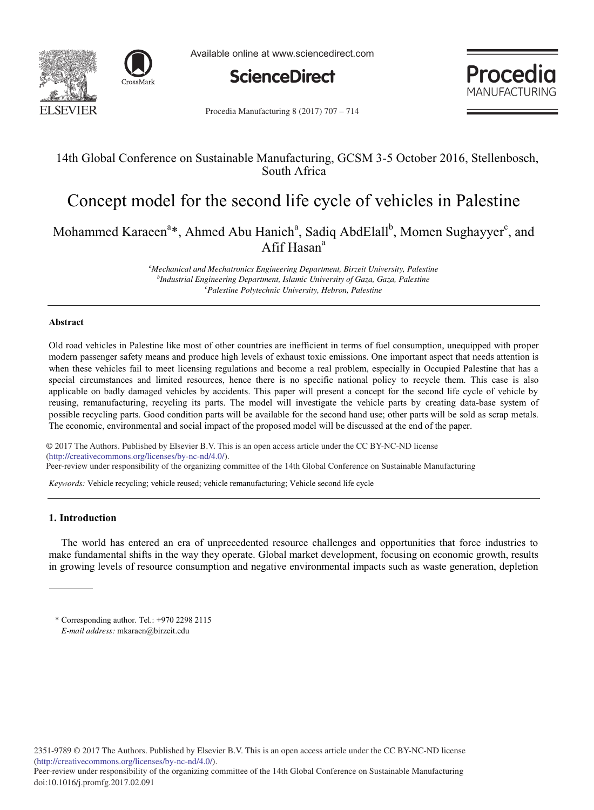



Available online at www.sciencedirect.com



Procedia **MANIJFACTUR** 

Procedia Manufacturing 8 (2017) 707 - 714

## 14th Global Conference on Sustainable Manufacturing, GCSM 3-5 October 2016, Stellenbosch, South Africa

# Concept model for the second life cycle of vehicles in Palestine

Mohammed Karaeen<sup>a</sup>\*, Ahmed Abu Hanieh<sup>a</sup>, Sadiq AbdElall<sup>b</sup>, Momen Sughayyer<sup>c</sup>, and Afif Hasan $a$ 

> *a Mechanical and Mechatronics Engineering Department, Birzeit University, Palestine b Industrial Engineering Department, Islamic University of Gaza, Gaza, Palestine c Palestine Polytechnic University, Hebron, Palestine*

## **Abstract**

Old road vehicles in Palestine like most of other countries are inefficient in terms of fuel consumption, unequipped with proper modern passenger safety means and produce high levels of exhaust toxic emissions. One important aspect that needs attention is when these vehicles fail to meet licensing regulations and become a real problem, especially in Occupied Palestine that has a special circumstances and limited resources, hence there is no specific national policy to recycle them. This case is also applicable on badly damaged vehicles by accidents. This paper will present a concept for the second life cycle of vehicle by reusing, remanufacturing, recycling its parts. The model will investigate the vehicle parts by creating data-base system of possible recycling parts. Good condition parts will be available for the second hand use; other parts will be sold as scrap metals. The economic, environmental and social impact of the proposed model will be discussed at the end of the paper.

© 2016 The Authors. Published by Elsevier B.V. © 2017 The Authors. Published by Elsevier B.V. This is an open access article under the CC BY-NC-ND license (intp.//creativecommons.org/necises/by-ne-nu-4.b/).<br>Peer-review under responsibility of the organizing committee of the 14th Global Conference on Sustainable Manufacturing (http://creativecommons.org/licenses/by-nc-nd/4.0/).

*Keywords:* Vehicle recycling; vehicle reused; vehicle remanufacturing; Vehicle second life cycle

## **1. Introduction**

The world has entered an era of unprecedented resource challenges and opportunities that force industries to make fundamental shifts in the way they operate. Global market development, focusing on economic growth, results in growing levels of resource consumption and negative environmental impacts such as waste generation, depletion

\* Corresponding author. Tel.: +970 2298 2115 *E-mail address:* mkaraen@birzeit.edu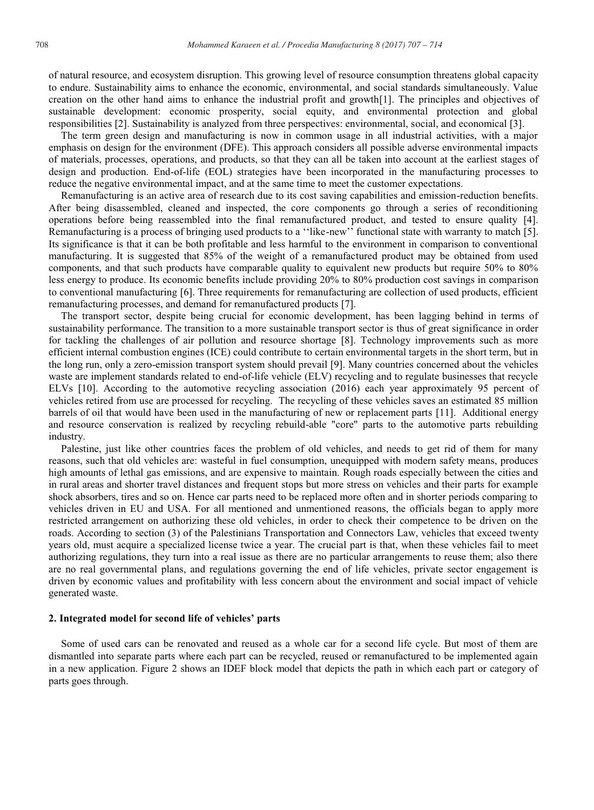of natural resource, and ecosystem disruption. This growing level of resource consumption threatens global capacity to endure. Sustainability aims to enhance the economic, environmental, and social standards simultaneously. Value creation on the other hand aims to enhance the industrial profit and growth[1]. The principles and objectives of sustainable development: economic prosperity, social equity, and environmental protection and global responsibilities [2]. Sustainability is analyzed from three perspectives: environmental, social, and economical [3].

The term green design and manufacturing is now in common usage in all industrial activities, with a major emphasis on design for the environment (DFE). This approach considers all possible adverse environmental impacts of materials, processes, operations, and products, so that they can all be taken into account at the earliest stages of design and production. End-of-life (EOL) strategies have been incorporated in the manufacturing processes to reduce the negative environmental impact, and at the same time to meet the customer expectations.

Remanufacturing is an active area of research due to its cost saving capabilities and emission-reduction benefits. After being disassembled, cleaned and inspected, the core components go through a series of reconditioning operations before being reassembled into the final remanufactured product, and tested to ensure quality [4]. Remanufacturing is a process of bringing used products to a ''like-new'' functional state with warranty to match [5]. Its significance is that it can be both profitable and less harmful to the environment in comparison to conventional manufacturing. It is suggested that 85% of the weight of a remanufactured product may be obtained from used components, and that such products have comparable quality to equivalent new products but require 50% to 80% less energy to produce. Its economic benefits include providing 20% to 80% production cost savings in comparison to conventional manufacturing [6]. Three requirements for remanufacturing are collection of used products, efficient remanufacturing processes, and demand for remanufactured products [7].

The transport sector, despite being crucial for economic development, has been lagging behind in terms of sustainability performance. The transition to a more sustainable transport sector is thus of great significance in order for tackling the challenges of air pollution and resource shortage [8]. Technology improvements such as more efficient internal combustion engines (ICE) could contribute to certain environmental targets in the short term, but in the long run, only a zero-emission transport system should prevail [9]. Many countries concerned about the vehicles waste are implement standards related to end-of-life vehicle (ELV) recycling and to regulate businesses that recycle ELVs [10]. According to the automotive recycling association (2016) each year approximately 95 percent of vehicles retired from use are processed for recycling. The recycling of these vehicles saves an estimated 85 million barrels of oil that would have been used in the manufacturing of new or replacement parts [11]. Additional energy and resource conservation is realized by recycling rebuild-able "core" parts to the automotive parts rebuilding industry.

Palestine, just like other countries faces the problem of old vehicles, and needs to get rid of them for many reasons, such that old vehicles are: wasteful in fuel consumption, unequipped with modern safety means, produces high amounts of lethal gas emissions, and are expensive to maintain. Rough roads especially between the cities and in rural areas and shorter travel distances and frequent stops but more stress on vehicles and their parts for example shock absorbers, tires and so on. Hence car parts need to be replaced more often and in shorter periods comparing to vehicles driven in EU and USA. For all mentioned and unmentioned reasons, the officials began to apply more restricted arrangement on authorizing these old vehicles, in order to check their competence to be driven on the roads. According to section (3) of the Palestinians Transportation and Connectors Law, vehicles that exceed twenty years old, must acquire a specialized license twice a year. The crucial part is that, when these vehicles fail to meet authorizing regulations, they turn into a real issue as there are no particular arrangements to reuse them; also there are no real governmental plans, and regulations governing the end of life vehicles, private sector engagement is driven by economic values and profitability with less concern about the environment and social impact of vehicle generated waste.

## **2. Integrated model for second life of vehicles' parts**

Some of used cars can be renovated and reused as a whole car for a second life cycle. But most of them are dismantled into separate parts where each part can be recycled, reused or remanufactured to be implemented again in a new application. Figure 2 shows an IDEF block model that depicts the path in which each part or category of parts goes through.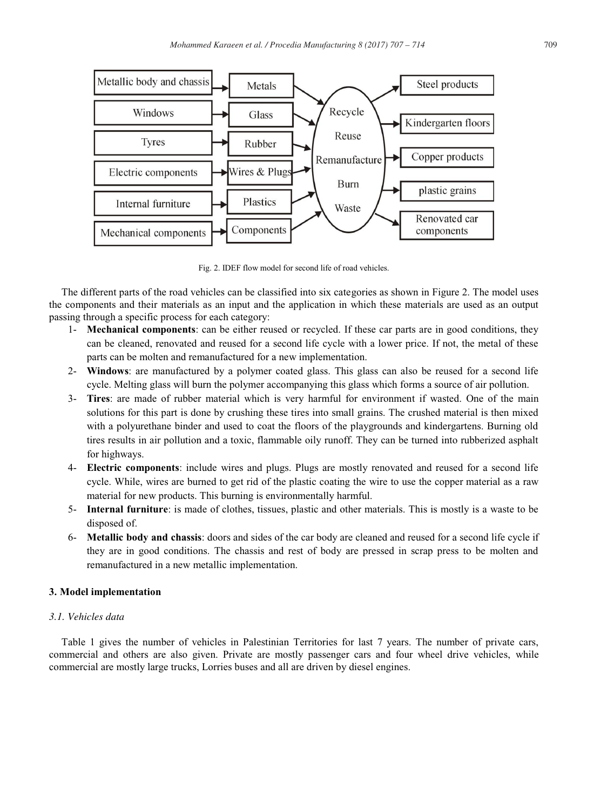

Fig. 2. IDEF flow model for second life of road vehicles.

The different parts of the road vehicles can be classified into six categories as shown in Figure 2. The model uses the components and their materials as an input and the application in which these materials are used as an output passing through a specific process for each category:

- 1- **Mechanical components**: can be either reused or recycled. If these car parts are in good conditions, they can be cleaned, renovated and reused for a second life cycle with a lower price. If not, the metal of these parts can be molten and remanufactured for a new implementation.
- 2- **Windows**: are manufactured by a polymer coated glass. This glass can also be reused for a second life cycle. Melting glass will burn the polymer accompanying this glass which forms a source of air pollution.
- 3- **Tires**: are made of rubber material which is very harmful for environment if wasted. One of the main solutions for this part is done by crushing these tires into small grains. The crushed material is then mixed with a polyurethane binder and used to coat the floors of the playgrounds and kindergartens. Burning old tires results in air pollution and a toxic, flammable oily runoff. They can be turned into rubberized asphalt for highways.
- 4- **Electric components**: include wires and plugs. Plugs are mostly renovated and reused for a second life cycle. While, wires are burned to get rid of the plastic coating the wire to use the copper material as a raw material for new products. This burning is environmentally harmful.
- 5- **Internal furniture**: is made of clothes, tissues, plastic and other materials. This is mostly is a waste to be disposed of.
- 6- **Metallic body and chassis**: doors and sides of the car body are cleaned and reused for a second life cycle if they are in good conditions. The chassis and rest of body are pressed in scrap press to be molten and remanufactured in a new metallic implementation.

## **3. Model implementation**

## *3.1. Vehicles data*

Table 1 gives the number of vehicles in Palestinian Territories for last 7 years. The number of private cars, commercial and others are also given. Private are mostly passenger cars and four wheel drive vehicles, while commercial are mostly large trucks, Lorries buses and all are driven by diesel engines.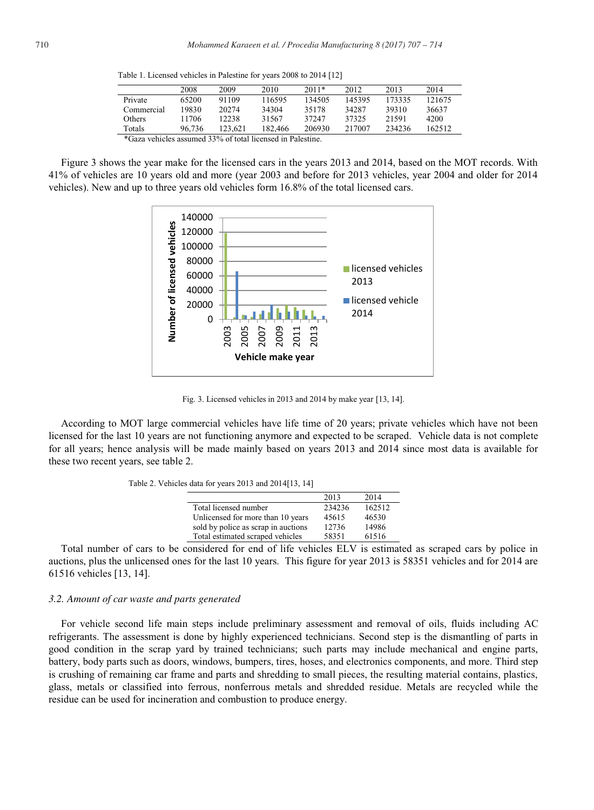Table 1. Licensed vehicles in Palestine for years 2008 to 2014 [12]

|            | 2008   | 2009    | 2010    | $2011*$ | 2012   | 2013   | 2014   |
|------------|--------|---------|---------|---------|--------|--------|--------|
| Private    | 65200  | 91109   | 116595  | 134505  | 145395 | 173335 | 121675 |
| Commercial | 19830  | 20274   | 34304   | 35178   | 34287  | 39310  | 36637  |
| Others     | 11706  | 12238   | 31567   | 37247   | 37325  | 21591  | 4200   |
| Totals     | 96.736 | 123.621 | 182.466 | 206930  | 217007 | 234236 | 162512 |
|            |        |         |         |         |        |        |        |

\*Gaza vehicles assumed 33% of total licensed in Palestine.

Figure 3 shows the year make for the licensed cars in the years 2013 and 2014, based on the MOT records. With 41% of vehicles are 10 years old and more (year 2003 and before for 2013 vehicles, year 2004 and older for 2014 vehicles). New and up to three years old vehicles form 16.8% of the total licensed cars.



Fig. 3. Licensed vehicles in 2013 and 2014 by make year [13, 14].

According to MOT large commercial vehicles have life time of 20 years; private vehicles which have not been licensed for the last 10 years are not functioning anymore and expected to be scraped. Vehicle data is not complete for all years; hence analysis will be made mainly based on years 2013 and 2014 since most data is available for these two recent years, see table 2.

Table 2. Vehicles data for years 2013 and 2014[13, 14]

|                                     | 2013   | 2014   |  |
|-------------------------------------|--------|--------|--|
| Total licensed number               | 234236 | 162512 |  |
| Unlicensed for more than 10 years   | 45615  | 46530  |  |
| sold by police as scrap in auctions | 12736  | 14986  |  |
| Total estimated scraped vehicles    | 58351  | 61516  |  |
|                                     |        |        |  |

Total number of cars to be considered for end of life vehicles ELV is estimated as scraped cars by police in auctions, plus the unlicensed ones for the last 10 years. This figure for year 2013 is 58351 vehicles and for 2014 are 61516 vehicles [13, 14].

## *3.2. Amount of car waste and parts generated*

For vehicle second life main steps include preliminary assessment and removal of oils, fluids including AC refrigerants. The assessment is done by highly experienced technicians. Second step is the dismantling of parts in good condition in the scrap yard by trained technicians; such parts may include mechanical and engine parts, battery, body parts such as doors, windows, bumpers, tires, hoses, and electronics components, and more. Third step is crushing of remaining car frame and parts and shredding to small pieces, the resulting material contains, plastics, glass, metals or classified into ferrous, nonferrous metals and shredded residue. Metals are recycled while the residue can be used for incineration and combustion to produce energy.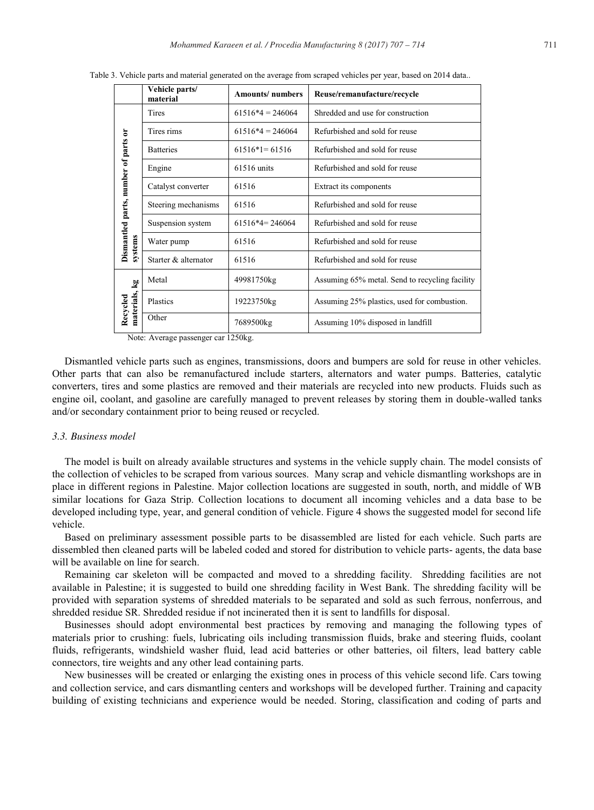|                                      | Vehicle parts/<br>material | <b>Amounts/</b> numbers | Reuse/remanufacture/recycle                    |  |  |
|--------------------------------------|----------------------------|-------------------------|------------------------------------------------|--|--|
|                                      | Tires                      | $61516*4 = 246064$      | Shredded and use for construction              |  |  |
|                                      | Tires rims                 | $61516*4 = 246064$      | Refurbished and sold for reuse                 |  |  |
| Dismantled parts, number of parts or | <b>Batteries</b>           | $61516*1=61516$         | Refurbished and sold for reuse                 |  |  |
|                                      | Engine                     | 61516 units             | Refurbished and sold for reuse                 |  |  |
|                                      | Catalyst converter         | 61516                   | Extract its components                         |  |  |
|                                      | Steering mechanisms        | 61516                   | Refurbished and sold for reuse                 |  |  |
|                                      | Suspension system          | $61516*4=246064$        | Refurbished and sold for reuse                 |  |  |
| systems                              | Water pump                 | 61516                   | Refurbished and sold for reuse                 |  |  |
|                                      | Starter & alternator       | 61516                   | Refurbished and sold for reuse                 |  |  |
| kg.<br>materials,<br>Recycled        | Metal                      | 49981750kg              | Assuming 65% metal. Send to recycling facility |  |  |
|                                      | Plastics                   | 19223750kg              | Assuming 25% plastics, used for combustion.    |  |  |
|                                      | Other                      | 7689500kg               | Assuming 10% disposed in landfill              |  |  |

Table 3. Vehicle parts and material generated on the average from scraped vehicles per year, based on 2014 data..

Note: Average passenger car 1250kg.

Dismantled vehicle parts such as engines, transmissions, doors and bumpers are sold for reuse in other vehicles. Other parts that can also be remanufactured include starters, alternators and water pumps. Batteries, catalytic converters, tires and some plastics are removed and their materials are recycled into new products. Fluids such as engine oil, coolant, and gasoline are carefully managed to prevent releases by storing them in double-walled tanks and/or secondary containment prior to being reused or recycled.

## *3.3. Business model*

The model is built on already available structures and systems in the vehicle supply chain. The model consists of the collection of vehicles to be scraped from various sources. Many scrap and vehicle dismantling workshops are in place in different regions in Palestine. Major collection locations are suggested in south, north, and middle of WB similar locations for Gaza Strip. Collection locations to document all incoming vehicles and a data base to be developed including type, year, and general condition of vehicle. Figure 4 shows the suggested model for second life vehicle.

Based on preliminary assessment possible parts to be disassembled are listed for each vehicle. Such parts are dissembled then cleaned parts will be labeled coded and stored for distribution to vehicle parts- agents, the data base will be available on line for search.

Remaining car skeleton will be compacted and moved to a shredding facility. Shredding facilities are not available in Palestine; it is suggested to build one shredding facility in West Bank. The shredding facility will be provided with separation systems of shredded materials to be separated and sold as such ferrous, nonferrous, and shredded residue SR. Shredded residue if not incinerated then it is sent to landfills for disposal.

Businesses should adopt environmental best practices by removing and managing the following types of materials prior to crushing: fuels, lubricating oils including transmission fluids, brake and steering fluids, coolant fluids, refrigerants, windshield washer fluid, lead acid batteries or other batteries, oil filters, lead battery cable connectors, tire weights and any other lead containing parts.

New businesses will be created or enlarging the existing ones in process of this vehicle second life. Cars towing and collection service, and cars dismantling centers and workshops will be developed further. Training and capacity building of existing technicians and experience would be needed. Storing, classification and coding of parts and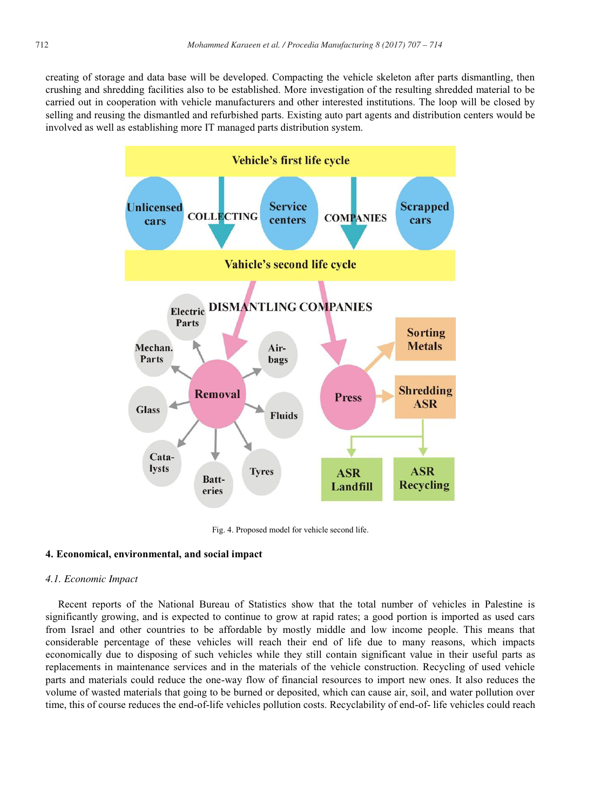creating of storage and data base will be developed. Compacting the vehicle skeleton after parts dismantling, then crushing and shredding facilities also to be established. More investigation of the resulting shredded material to be carried out in cooperation with vehicle manufacturers and other interested institutions. The loop will be closed by selling and reusing the dismantled and refurbished parts. Existing auto part agents and distribution centers would be involved as well as establishing more IT managed parts distribution system.



Fig. 4. Proposed model for vehicle second life.

#### **4. Economical, environmental, and social impact**

#### *4.1. Economic Impact*

Recent reports of the National Bureau of Statistics show that the total number of vehicles in Palestine is significantly growing, and is expected to continue to grow at rapid rates; a good portion is imported as used cars from Israel and other countries to be affordable by mostly middle and low income people. This means that considerable percentage of these vehicles will reach their end of life due to many reasons, which impacts economically due to disposing of such vehicles while they still contain significant value in their useful parts as replacements in maintenance services and in the materials of the vehicle construction. Recycling of used vehicle parts and materials could reduce the one-way flow of financial resources to import new ones. It also reduces the volume of wasted materials that going to be burned or deposited, which can cause air, soil, and water pollution over time, this of course reduces the end-of-life vehicles pollution costs. Recyclability of end-of- life vehicles could reach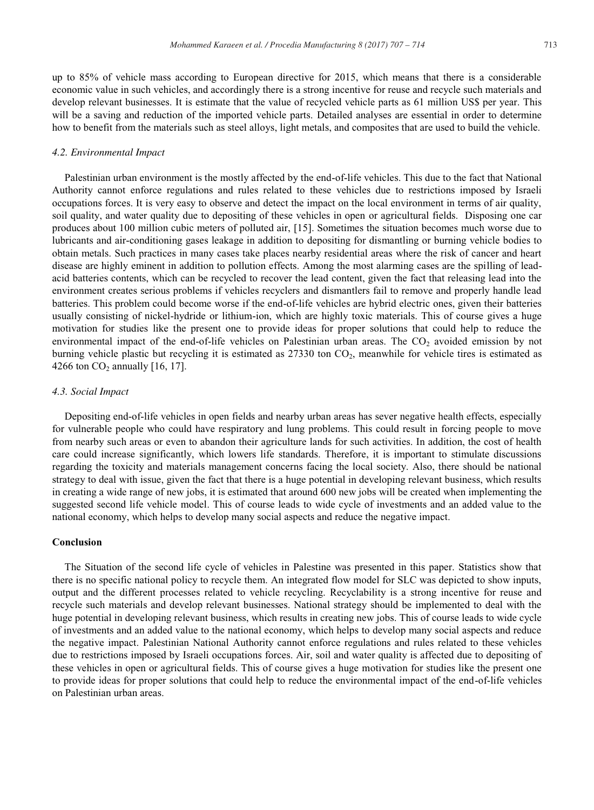up to 85% of vehicle mass according to European directive for 2015, which means that there is a considerable economic value in such vehicles, and accordingly there is a strong incentive for reuse and recycle such materials and develop relevant businesses. It is estimate that the value of recycled vehicle parts as 61 million US\$ per year. This will be a saving and reduction of the imported vehicle parts. Detailed analyses are essential in order to determine how to benefit from the materials such as steel alloys, light metals, and composites that are used to build the vehicle.

#### *4.2. Environmental Impact*

Palestinian urban environment is the mostly affected by the end-of-life vehicles. This due to the fact that National Authority cannot enforce regulations and rules related to these vehicles due to restrictions imposed by Israeli occupations forces. It is very easy to observe and detect the impact on the local environment in terms of air quality, soil quality, and water quality due to depositing of these vehicles in open or agricultural fields. Disposing one car produces about 100 million cubic meters of polluted air, [15]. Sometimes the situation becomes much worse due to lubricants and air-conditioning gases leakage in addition to depositing for dismantling or burning vehicle bodies to obtain metals. Such practices in many cases take places nearby residential areas where the risk of cancer and heart disease are highly eminent in addition to pollution effects. Among the most alarming cases are the spilling of leadacid batteries contents, which can be recycled to recover the lead content, given the fact that releasing lead into the environment creates serious problems if vehicles recyclers and dismantlers fail to remove and properly handle lead batteries. This problem could become worse if the end-of-life vehicles are hybrid electric ones, given their batteries usually consisting of nickel-hydride or lithium-ion, which are highly toxic materials. This of course gives a huge motivation for studies like the present one to provide ideas for proper solutions that could help to reduce the environmental impact of the end-of-life vehicles on Palestinian urban areas. The CO<sub>2</sub> avoided emission by not burning vehicle plastic but recycling it is estimated as 27330 ton CO<sub>2</sub>, meanwhile for vehicle tires is estimated as 4266 ton  $CO<sub>2</sub>$  annually [16, 17].

#### *4.3. Social Impact*

Depositing end-of-life vehicles in open fields and nearby urban areas has sever negative health effects, especially for vulnerable people who could have respiratory and lung problems. This could result in forcing people to move from nearby such areas or even to abandon their agriculture lands for such activities. In addition, the cost of health care could increase significantly, which lowers life standards. Therefore, it is important to stimulate discussions regarding the toxicity and materials management concerns facing the local society. Also, there should be national strategy to deal with issue, given the fact that there is a huge potential in developing relevant business, which results in creating a wide range of new jobs, it is estimated that around 600 new jobs will be created when implementing the suggested second life vehicle model. This of course leads to wide cycle of investments and an added value to the national economy, which helps to develop many social aspects and reduce the negative impact.

## **Conclusion**

The Situation of the second life cycle of vehicles in Palestine was presented in this paper. Statistics show that there is no specific national policy to recycle them. An integrated flow model for SLC was depicted to show inputs, output and the different processes related to vehicle recycling. Recyclability is a strong incentive for reuse and recycle such materials and develop relevant businesses. National strategy should be implemented to deal with the huge potential in developing relevant business, which results in creating new jobs. This of course leads to wide cycle of investments and an added value to the national economy, which helps to develop many social aspects and reduce the negative impact. Palestinian National Authority cannot enforce regulations and rules related to these vehicles due to restrictions imposed by Israeli occupations forces. Air, soil and water quality is affected due to depositing of these vehicles in open or agricultural fields. This of course gives a huge motivation for studies like the present one to provide ideas for proper solutions that could help to reduce the environmental impact of the end-of-life vehicles on Palestinian urban areas.